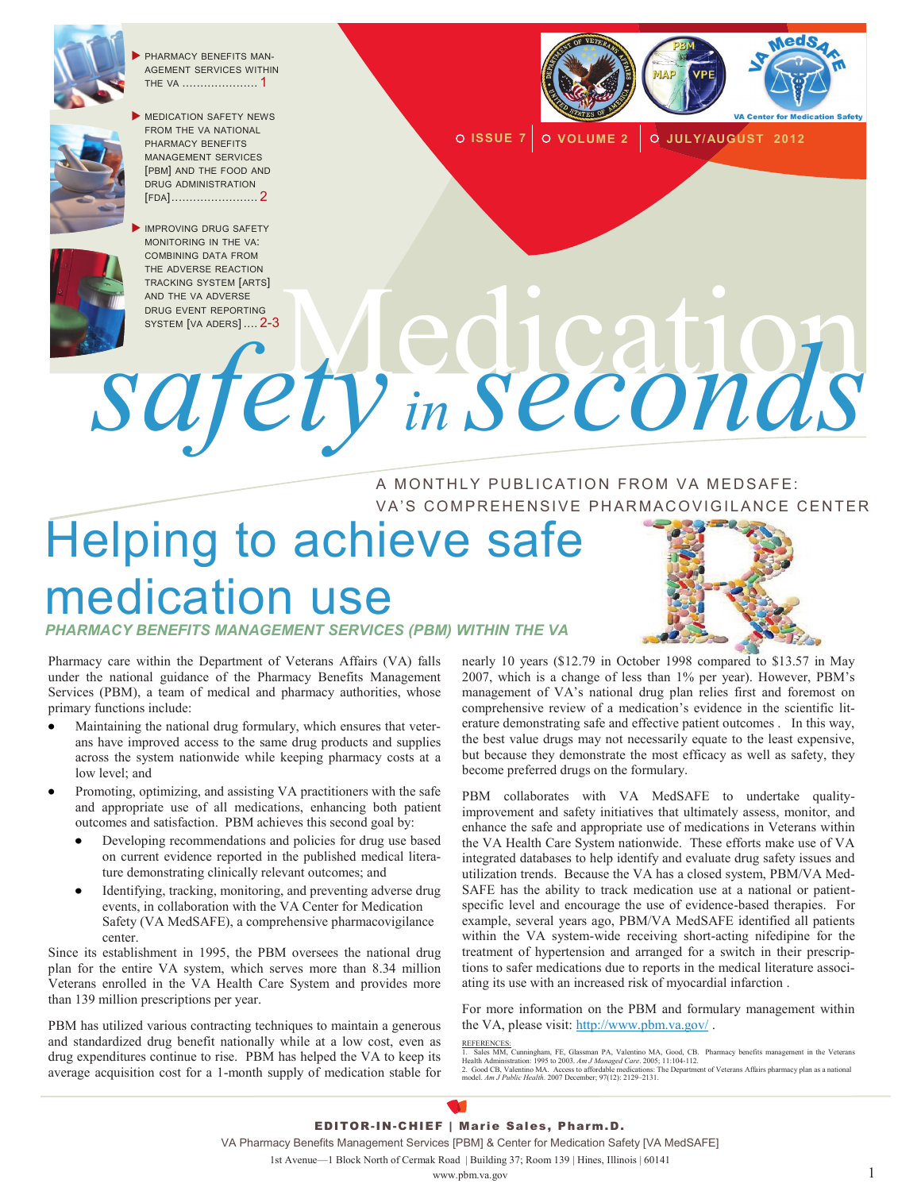

 PHARMACY BENEFITS MAN-AGEMENT SERVICES WITHIN THE VA ..................... 1



MEDICATION SAFETY NEWS FROM THE VA NATIONAL PHARMACY BENEFITS MANAGEMENT SERVICES [PBM] AND THE FOOD AND DRUG ADMINISTRATION [FDA]........................ 2





**ISSUE 7 VOLUME 2 JULY/AUGUST 2012**

DRUG EVENT REPORTING<br>SYSTEM [VA ADERS] .... 2-3 TRACKING SYSTEM [ARTS]<br>AND THE VA ADVERSE<br>SYSTEM [VA ADERS] .... 2-3<br>OF COLORAD PRODUCTS .... 2-3 *safety in seconds*

> A MONTHLY PUBLICATION FROM VA MEDSAFE: VA'S COMPREHENSIVE PHARMACOVIGILANCE CENTER

# Helping to achieve safe medication use

*PHARMACY BENEFITS MANAGEMENT SERVICES (PBM) WITHIN THE VA* 

Pharmacy care within the Department of Veterans Affairs (VA) falls under the national guidance of the Pharmacy Benefits Management Services (PBM), a team of medical and pharmacy authorities, whose primary functions include:

- Maintaining the national drug formulary, which ensures that veterans have improved access to the same drug products and supplies across the system nationwide while keeping pharmacy costs at a low level; and
- Promoting, optimizing, and assisting VA practitioners with the safe and appropriate use of all medications, enhancing both patient outcomes and satisfaction. PBM achieves this second goal by:
	- Developing recommendations and policies for drug use based on current evidence reported in the published medical literature demonstrating clinically relevant outcomes; and
	- Identifying, tracking, monitoring, and preventing adverse drug events, in collaboration with the VA Center for Medication Safety (VA MedSAFE), a comprehensive pharmacovigilance center.

Since its establishment in 1995, the PBM oversees the national drug plan for the entire VA system, which serves more than 8.34 million Veterans enrolled in the VA Health Care System and provides more than 139 million prescriptions per year.

PBM has utilized various contracting techniques to maintain a generous and standardized drug benefit nationally while at a low cost, even as drug expenditures continue to rise. PBM has helped the VA to keep its average acquisition cost for a 1-month supply of medication stable for nearly 10 years (\$12.79 in October 1998 compared to \$13.57 in May 2007, which is a change of less than 1% per year). However, PBM's management of VA's national drug plan relies first and foremost on comprehensive review of a medication's evidence in the scientific literature demonstrating safe and effective patient outcomes . In this way, the best value drugs may not necessarily equate to the least expensive, but because they demonstrate the most efficacy as well as safety, they become preferred drugs on the formulary.

PBM collaborates with VA MedSAFE to undertake qualityimprovement and safety initiatives that ultimately assess, monitor, and enhance the safe and appropriate use of medications in Veterans within the VA Health Care System nationwide. These efforts make use of VA integrated databases to help identify and evaluate drug safety issues and utilization trends. Because the VA has a closed system, PBM/VA Med-SAFE has the ability to track medication use at a national or patientspecific level and encourage the use of evidence-based therapies. For example, several years ago, PBM/VA MedSAFE identified all patients within the VA system-wide receiving short-acting nifedipine for the treatment of hypertension and arranged for a switch in their prescriptions to safer medications due to reports in the medical literature associating its use with an increased risk of myocardial infarction .

For more information on the PBM and formulary management within the VA, please visit: <http://www.pbm.va.gov/> .

REFERENCES.<br>1. Sales MM, Cunningham, FE, Glassman PA, Valentino MA, Good, CB. Pharmacy benefits management in the Veterans<br>Health Administration: 1995 to 2003. *Am J Managed Care.* 2005; 11:104-112.<br>2. Good CB, Valentino M

#### EDITOR-IN-CHIEF | Marie Sales, Pharm.D.

VA Pharmacy Benefits Management Services [PBM] & Center for Medication Safety [VA MedSAFE]

1st Avenue—1 Block North of Cermak Road | Building 37; Room 139 | Hines, Illinois | 60141

www.pbm.va.gov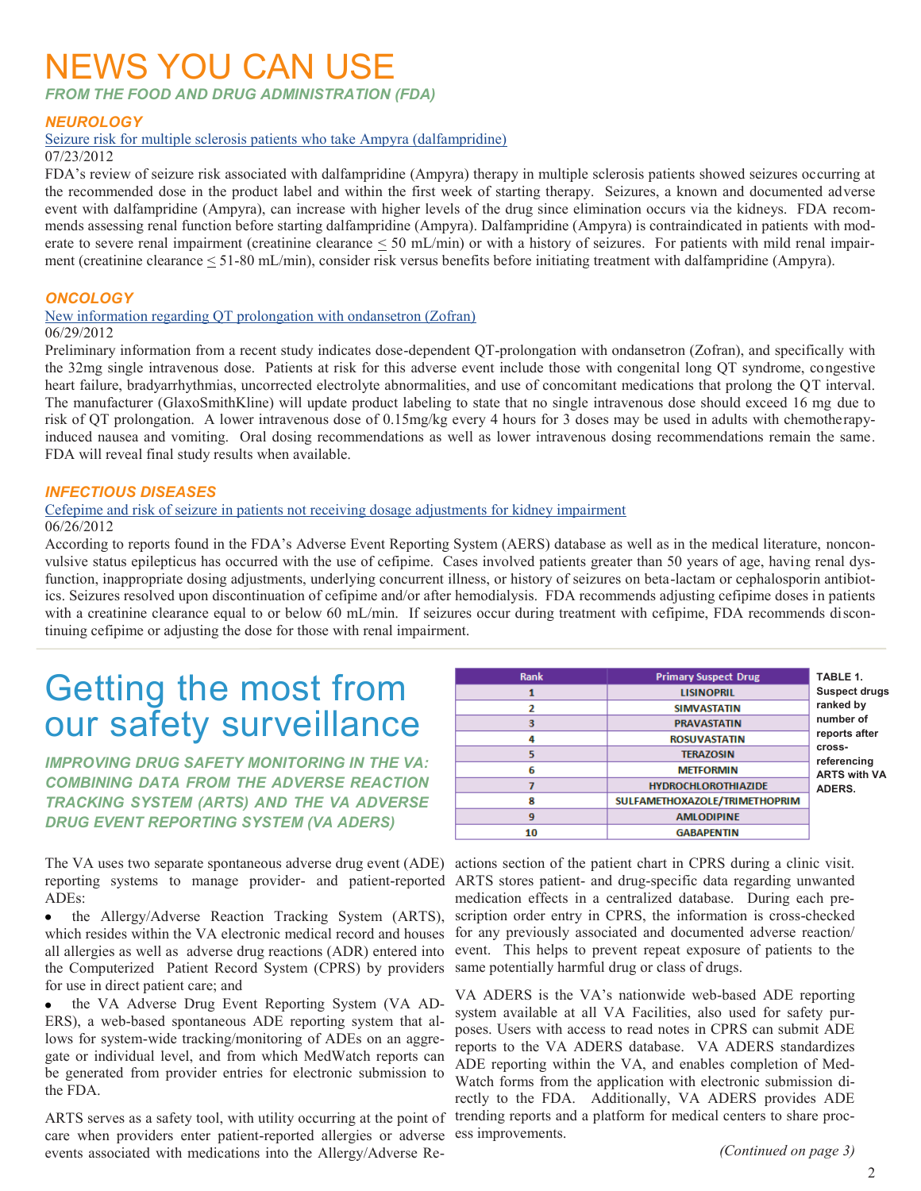### NEWS YOU CAN USE

*FROM THE FOOD AND DRUG ADMINISTRATION (FDA)*

#### *NEUROLOGY*

#### [Seizure risk for multiple sclerosis patients who take Ampyra \(dalfampridine\)](http://www.fda.gov/Drugs/DrugSafety/ucm312846.htm)

07/23/2012

FDA's review of seizure risk associated with dalfampridine (Ampyra) therapy in multiple sclerosis patients showed seizures occurring at the recommended dose in the product label and within the first week of starting therapy. Seizures, a known and documented adverse event with dalfampridine (Ampyra), can increase with higher levels of the drug since elimination occurs via the kidneys. FDA recommends assessing renal function before starting dalfampridine (Ampyra). Dalfampridine (Ampyra) is contraindicated in patients with moderate to severe renal impairment (creatinine clearance < 50 mL/min) or with a history of seizures. For patients with mild renal impairment (creatinine clearance < 51-80 mL/min), consider risk versus benefits before initiating treatment with dalfampridine (Ampyra).

#### *ONCOLOGY*

[New information regarding QT prolongation with ondansetron \(Zofran\)](http://www.fda.gov/Drugs/DrugSafety/ucm310190.htm)

#### 06/29/2012

Preliminary information from a recent study indicates dose-dependent QT-prolongation with ondansetron (Zofran), and specifically with the 32mg single intravenous dose. Patients at risk for this adverse event include those with congenital long QT syndrome, congestive heart failure, bradyarrhythmias, uncorrected electrolyte abnormalities, and use of concomitant medications that prolong the QT interval. The manufacturer (GlaxoSmithKline) will update product labeling to state that no single intravenous dose should exceed 16 mg due to risk of QT prolongation. A lower intravenous dose of 0.15mg/kg every 4 hours for 3 doses may be used in adults with chemotherapyinduced nausea and vomiting. Oral dosing recommendations as well as lower intravenous dosing recommendations remain the same. FDA will reveal final study results when available.

#### *INFECTIOUS DISEASES*

#### [Cefepime and risk of seizure in patients not receiving dosage adjustments for kidney impairment](http://www.fda.gov/Drugs/DrugSafety/ucm309661.htm) 06/26/2012

According to reports found in the FDA's Adverse Event Reporting System (AERS) database as well as in the medical literature, nonconvulsive status epilepticus has occurred with the use of cefipime. Cases involved patients greater than 50 years of age, having renal dysfunction, inappropriate dosing adjustments, underlying concurrent illness, or history of seizures on beta-lactam or cephalosporin antibiotics. Seizures resolved upon discontinuation of cefipime and/or after hemodialysis. FDA recommends adjusting cefipime doses in patients with a creatinine clearance equal to or below 60 mL/min. If seizures occur during treatment with cefipime, FDA recommends discontinuing cefipime or adjusting the dose for those with renal impairment.

## Getting the most from our safety surveillance

*IMPROVING DRUG SAFETY MONITORING IN THE VA: COMBINING DATA FROM THE ADVERSE REACTION TRACKING SYSTEM (ARTS) AND THE VA ADVERSE DRUG EVENT REPORTING SYSTEM (VA ADERS)*

ADEs:

the Allergy/Adverse Reaction Tracking System (ARTS), which resides within the VA electronic medical record and houses all allergies as well as adverse drug reactions (ADR) entered into the Computerized Patient Record System (CPRS) by providers for use in direct patient care; and

the VA Adverse Drug Event Reporting System (VA AD-ERS), a web-based spontaneous ADE reporting system that allows for system-wide tracking/monitoring of ADEs on an aggregate or individual level, and from which MedWatch reports can be generated from provider entries for electronic submission to the FDA.

ARTS serves as a safety tool, with utility occurring at the point of care when providers enter patient-reported allergies or adverse events associated with medications into the Allergy/Adverse Re-

| <b>Rank</b> | <b>Primary Suspect Drug</b>   | TABLE 1.                                                                                                                  |
|-------------|-------------------------------|---------------------------------------------------------------------------------------------------------------------------|
|             | <b>LISINOPRIL</b>             | <b>Suspect drugs</b><br>ranked by<br>number of<br>reports after<br>cross-<br>referencing<br><b>ARTS with VA</b><br>ADERS. |
| 2           | <b>SIMVASTATIN</b>            |                                                                                                                           |
| 3           | <b>PRAVASTATIN</b>            |                                                                                                                           |
| 4           | <b>ROSUVASTATIN</b>           |                                                                                                                           |
| 5           | <b>TERAZOSIN</b>              |                                                                                                                           |
| 6           | <b>METFORMIN</b>              |                                                                                                                           |
|             | <b>HYDROCHLOROTHIAZIDE</b>    |                                                                                                                           |
| 8           | SULFAMETHOXAZOLE/TRIMETHOPRIM |                                                                                                                           |
| 9           | <b>AMLODIPINE</b>             |                                                                                                                           |
| 10          | <b>GABAPENTIN</b>             |                                                                                                                           |

The VA uses two separate spontaneous adverse drug event (ADE) actions section of the patient chart in CPRS during a clinic visit. reporting systems to manage provider- and patient-reported ARTS stores patient- and drug-specific data regarding unwanted medication effects in a centralized database. During each prescription order entry in CPRS, the information is cross-checked for any previously associated and documented adverse reaction/ event. This helps to prevent repeat exposure of patients to the same potentially harmful drug or class of drugs.

> VA ADERS is the VA's nationwide web-based ADE reporting system available at all VA Facilities, also used for safety purposes. Users with access to read notes in CPRS can submit ADE reports to the VA ADERS database. VA ADERS standardizes ADE reporting within the VA, and enables completion of Med-Watch forms from the application with electronic submission directly to the FDA. Additionally, VA ADERS provides ADE trending reports and a platform for medical centers to share process improvements.